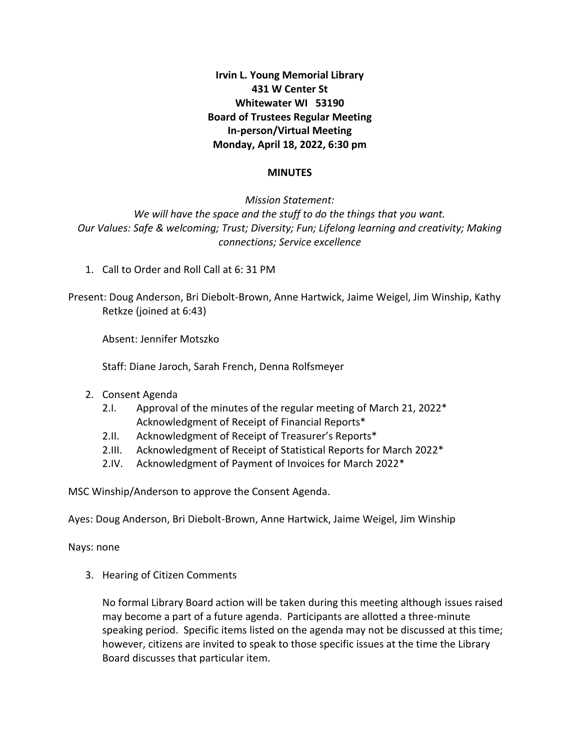**Irvin L. Young Memorial Library 431 W Center St Whitewater WI 53190 Board of Trustees Regular Meeting In-person/Virtual Meeting Monday, April 18, 2022, 6:30 pm**

#### **MINUTES**

*Mission Statement: We will have the space and the stuff to do the things that you want. Our Values: Safe & welcoming; Trust; Diversity; Fun; Lifelong learning and creativity; Making connections; Service excellence*

1. Call to Order and Roll Call at 6: 31 PM

Present: Doug Anderson, Bri Diebolt-Brown, Anne Hartwick, Jaime Weigel, Jim Winship, Kathy Retkze (joined at 6:43)

Absent: Jennifer Motszko

Staff: Diane Jaroch, Sarah French, Denna Rolfsmeyer

- 2. Consent Agenda
	- 2.I. Approval of the minutes of the regular meeting of March 21, 2022\* Acknowledgment of Receipt of Financial Reports\*
	- 2.II. Acknowledgment of Receipt of Treasurer's Reports\*
	- 2.III. Acknowledgment of Receipt of Statistical Reports for March 2022\*
	- 2.IV. Acknowledgment of Payment of Invoices for March 2022\*

MSC Winship/Anderson to approve the Consent Agenda.

Ayes: Doug Anderson, Bri Diebolt-Brown, Anne Hartwick, Jaime Weigel, Jim Winship

Nays: none

3. Hearing of Citizen Comments

No formal Library Board action will be taken during this meeting although issues raised may become a part of a future agenda. Participants are allotted a three-minute speaking period. Specific items listed on the agenda may not be discussed at this time; however, citizens are invited to speak to those specific issues at the time the Library Board discusses that particular item.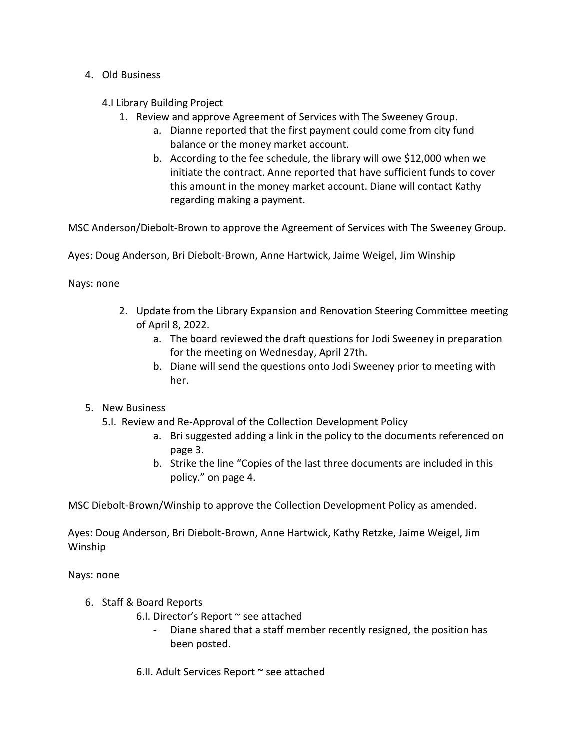- 4. Old Business
	- 4.I Library Building Project
		- 1. Review and approve Agreement of Services with The Sweeney Group.
			- a. Dianne reported that the first payment could come from city fund balance or the money market account.
			- b. According to the fee schedule, the library will owe \$12,000 when we initiate the contract. Anne reported that have sufficient funds to cover this amount in the money market account. Diane will contact Kathy regarding making a payment.

MSC Anderson/Diebolt-Brown to approve the Agreement of Services with The Sweeney Group.

Ayes: Doug Anderson, Bri Diebolt-Brown, Anne Hartwick, Jaime Weigel, Jim Winship

Nays: none

- 2. Update from the Library Expansion and Renovation Steering Committee meeting of April 8, 2022.
	- a. The board reviewed the draft questions for Jodi Sweeney in preparation for the meeting on Wednesday, April 27th.
	- b. Diane will send the questions onto Jodi Sweeney prior to meeting with her.
- 5. New Business
	- 5.I. Review and Re-Approval of the Collection Development Policy
		- a. Bri suggested adding a link in the policy to the documents referenced on page 3.
		- b. Strike the line "Copies of the last three documents are included in this policy." on page 4.

MSC Diebolt-Brown/Winship to approve the Collection Development Policy as amended.

Ayes: Doug Anderson, Bri Diebolt-Brown, Anne Hartwick, Kathy Retzke, Jaime Weigel, Jim Winship

Nays: none

- 6. Staff & Board Reports
	- 6.I. Director's Report ~ see attached
		- Diane shared that a staff member recently resigned, the position has been posted.

6.II. Adult Services Report ~ see attached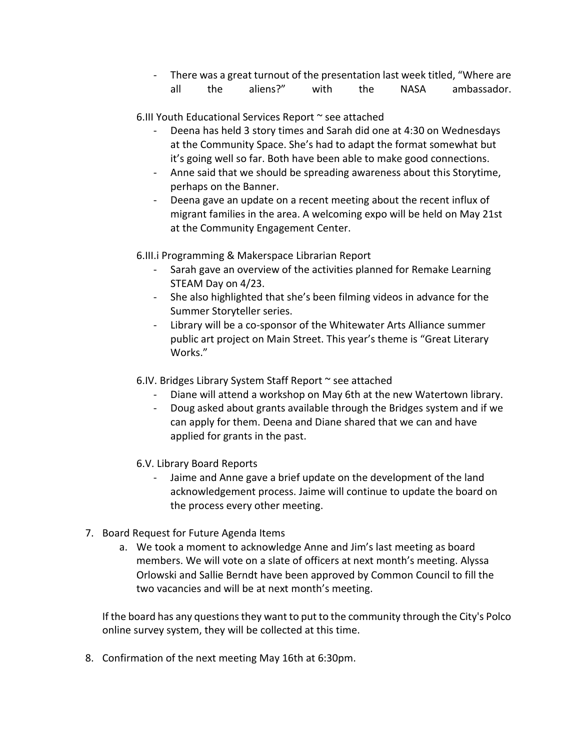- There was a great turnout of the presentation last week titled, "Where are all the aliens?" with the NASA ambassador.

6.III Youth Educational Services Report ~ see attached

- Deena has held 3 story times and Sarah did one at 4:30 on Wednesdays at the Community Space. She's had to adapt the format somewhat but it's going well so far. Both have been able to make good connections.
- Anne said that we should be spreading awareness about this Storytime, perhaps on the Banner.
- Deena gave an update on a recent meeting about the recent influx of migrant families in the area. A welcoming expo will be held on May 21st at the Community Engagement Center.

6.III.i Programming & Makerspace Librarian Report

- Sarah gave an overview of the activities planned for Remake Learning STEAM Day on 4/23.
- She also highlighted that she's been filming videos in advance for the Summer Storyteller series.
- Library will be a co-sponsor of the Whitewater Arts Alliance summer public art project on Main Street. This year's theme is "Great Literary Works."
- 6.IV. Bridges Library System Staff Report ~ see attached
	- Diane will attend a workshop on May 6th at the new Watertown library.
	- Doug asked about grants available through the Bridges system and if we can apply for them. Deena and Diane shared that we can and have applied for grants in the past.
- 6.V. Library Board Reports
	- Jaime and Anne gave a brief update on the development of the land acknowledgement process. Jaime will continue to update the board on the process every other meeting.
- 7. Board Request for Future Agenda Items
	- a. We took a moment to acknowledge Anne and Jim's last meeting as board members. We will vote on a slate of officers at next month's meeting. Alyssa Orlowski and Sallie Berndt have been approved by Common Council to fill the two vacancies and will be at next month's meeting.

If the board has any questions they want to put to the community through the City's Polco online survey system, they will be collected at this time.

8. Confirmation of the next meeting May 16th at 6:30pm.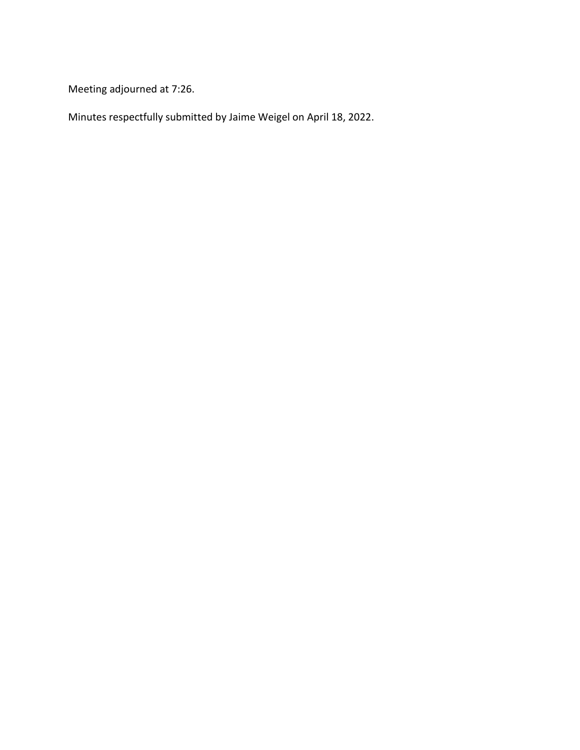Meeting adjourned at 7:26.

Minutes respectfully submitted by Jaime Weigel on April 18, 2022.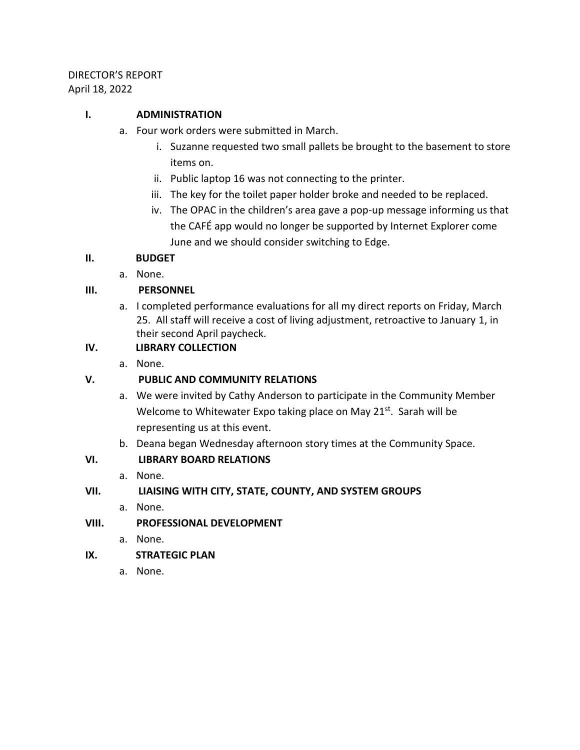# DIRECTOR'S REPORT April 18, 2022

## **I. ADMINISTRATION**

- a. Four work orders were submitted in March.
	- i. Suzanne requested two small pallets be brought to the basement to store items on.
	- ii. Public laptop 16 was not connecting to the printer.
	- iii. The key for the toilet paper holder broke and needed to be replaced.
	- iv. The OPAC in the children's area gave a pop-up message informing us that the CAFÉ app would no longer be supported by Internet Explorer come June and we should consider switching to Edge.

## **II. BUDGET**

a. None.

# **III. PERSONNEL**

a. I completed performance evaluations for all my direct reports on Friday, March 25. All staff will receive a cost of living adjustment, retroactive to January 1, in their second April paycheck.

# **IV. LIBRARY COLLECTION**

a. None.

# **V. PUBLIC AND COMMUNITY RELATIONS**

- a. We were invited by Cathy Anderson to participate in the Community Member Welcome to Whitewater Expo taking place on May 21<sup>st</sup>. Sarah will be representing us at this event.
- b. Deana began Wednesday afternoon story times at the Community Space.

# **VI. LIBRARY BOARD RELATIONS**

a. None.

## **VII. LIAISING WITH CITY, STATE, COUNTY, AND SYSTEM GROUPS**

a. None.

## **VIII. PROFESSIONAL DEVELOPMENT**

- a. None.
- **IX. STRATEGIC PLAN**
	- a. None.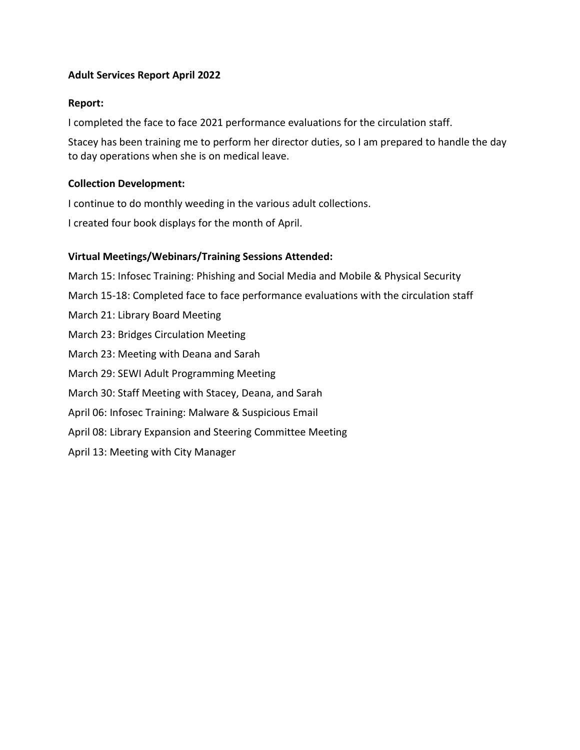## **Adult Services Report April 2022**

### **Report:**

I completed the face to face 2021 performance evaluations for the circulation staff.

Stacey has been training me to perform her director duties, so I am prepared to handle the day to day operations when she is on medical leave.

## **Collection Development:**

I continue to do monthly weeding in the various adult collections.

I created four book displays for the month of April.

## **Virtual Meetings/Webinars/Training Sessions Attended:**

March 15: Infosec Training: Phishing and Social Media and Mobile & Physical Security March 15-18: Completed face to face performance evaluations with the circulation staff March 21: Library Board Meeting March 23: Bridges Circulation Meeting March 23: Meeting with Deana and Sarah March 29: SEWI Adult Programming Meeting March 30: Staff Meeting with Stacey, Deana, and Sarah April 06: Infosec Training: Malware & Suspicious Email April 08: Library Expansion and Steering Committee Meeting April 13: Meeting with City Manager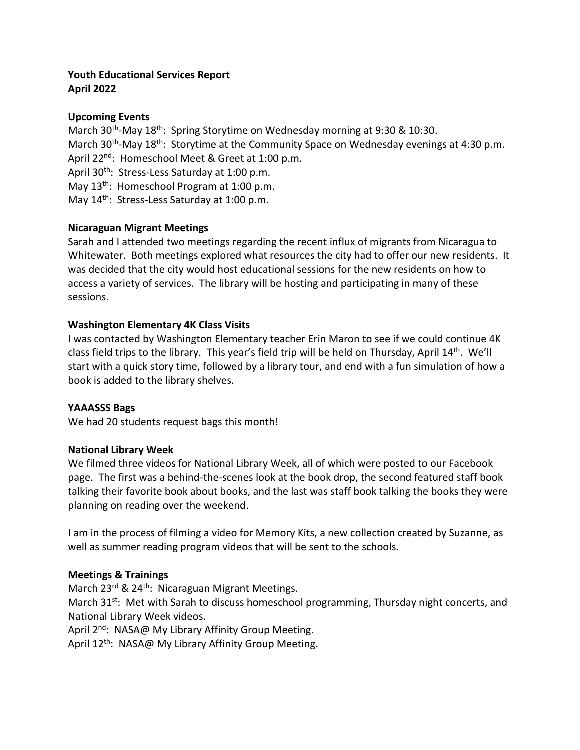## **Youth Educational Services Report April 2022**

## **Upcoming Events**

March 30<sup>th</sup>-May 18<sup>th</sup>: Spring Storytime on Wednesday morning at 9:30 & 10:30. March 30<sup>th</sup>-May 18<sup>th</sup>: Storytime at the Community Space on Wednesday evenings at 4:30 p.m. April 22<sup>nd</sup>: Homeschool Meet & Greet at 1:00 p.m. April 30<sup>th</sup>: Stress-Less Saturday at 1:00 p.m. May 13<sup>th</sup>: Homeschool Program at 1:00 p.m. May 14<sup>th</sup>: Stress-Less Saturday at 1:00 p.m.

### **Nicaraguan Migrant Meetings**

Sarah and I attended two meetings regarding the recent influx of migrants from Nicaragua to Whitewater. Both meetings explored what resources the city had to offer our new residents. It was decided that the city would host educational sessions for the new residents on how to access a variety of services. The library will be hosting and participating in many of these sessions.

## **Washington Elementary 4K Class Visits**

I was contacted by Washington Elementary teacher Erin Maron to see if we could continue 4K class field trips to the library. This year's field trip will be held on Thursday, April  $14<sup>th</sup>$ . We'll start with a quick story time, followed by a library tour, and end with a fun simulation of how a book is added to the library shelves.

### **YAAASSS Bags**

We had 20 students request bags this month!

### **National Library Week**

We filmed three videos for National Library Week, all of which were posted to our Facebook page. The first was a behind-the-scenes look at the book drop, the second featured staff book talking their favorite book about books, and the last was staff book talking the books they were planning on reading over the weekend.

I am in the process of filming a video for Memory Kits, a new collection created by Suzanne, as well as summer reading program videos that will be sent to the schools.

### **Meetings & Trainings**

March 23<sup>rd</sup> & 24<sup>th</sup>: Nicaraguan Migrant Meetings.

March 31<sup>st</sup>: Met with Sarah to discuss homeschool programming, Thursday night concerts, and National Library Week videos.

April 2<sup>nd</sup>: NASA@ My Library Affinity Group Meeting.

April 12<sup>th</sup>: NASA@ My Library Affinity Group Meeting.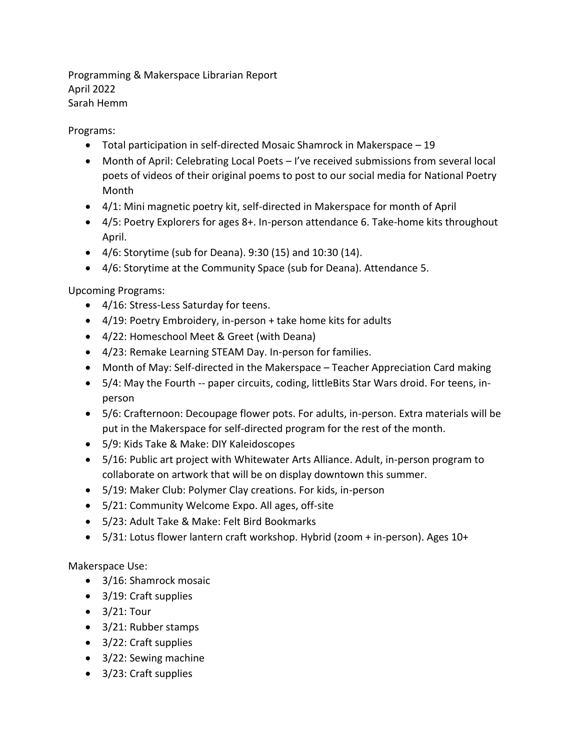Programming & Makerspace Librarian Report April 2022 Sarah Hemm

Programs:

- Total participation in self-directed Mosaic Shamrock in Makerspace 19
- Month of April: Celebrating Local Poets I've received submissions from several local poets of videos of their original poems to post to our social media for National Poetry Month
- 4/1: Mini magnetic poetry kit, self-directed in Makerspace for month of April
- 4/5: Poetry Explorers for ages 8+. In-person attendance 6. Take-home kits throughout April.
- 4/6: Storytime (sub for Deana). 9:30 (15) and 10:30 (14).
- 4/6: Storytime at the Community Space (sub for Deana). Attendance 5.

Upcoming Programs:

- 4/16: Stress-Less Saturday for teens.
- 4/19: Poetry Embroidery, in-person + take home kits for adults
- 4/22: Homeschool Meet & Greet (with Deana)
- 4/23: Remake Learning STEAM Day. In-person for families.
- Month of May: Self-directed in the Makerspace Teacher Appreciation Card making
- 5/4: May the Fourth -- paper circuits, coding, littleBits Star Wars droid. For teens, inperson
- 5/6: Crafternoon: Decoupage flower pots. For adults, in-person. Extra materials will be put in the Makerspace for self-directed program for the rest of the month.
- 5/9: Kids Take & Make: DIY Kaleidoscopes
- 5/16: Public art project with Whitewater Arts Alliance. Adult, in-person program to collaborate on artwork that will be on display downtown this summer.
- 5/19: Maker Club: Polymer Clay creations. For kids, in-person
- 5/21: Community Welcome Expo. All ages, off-site
- 5/23: Adult Take & Make: Felt Bird Bookmarks
- 5/31: Lotus flower lantern craft workshop. Hybrid (zoom + in-person). Ages 10+

Makerspace Use:

- 3/16: Shamrock mosaic
- 3/19: Craft supplies
- 3/21: Tour
- 3/21: Rubber stamps
- 3/22: Craft supplies
- 3/22: Sewing machine
- 3/23: Craft supplies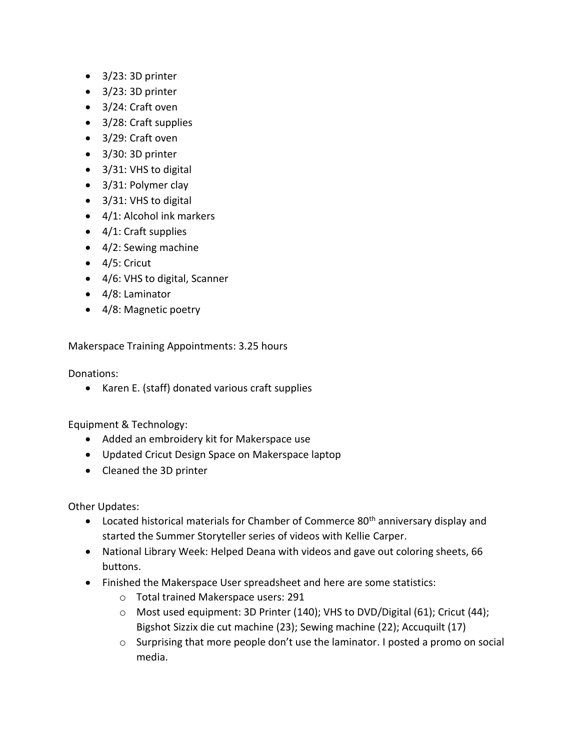- 3/23: 3D printer
- 3/23: 3D printer
- 3/24: Craft oven
- 3/28: Craft supplies
- 3/29: Craft oven
- 3/30: 3D printer
- 3/31: VHS to digital
- 3/31: Polymer clay
- 3/31: VHS to digital
- 4/1: Alcohol ink markers
- 4/1: Craft supplies
- 4/2: Sewing machine
- 4/5: Cricut
- 4/6: VHS to digital, Scanner
- 4/8: Laminator
- 4/8: Magnetic poetry

Makerspace Training Appointments: 3.25 hours

Donations:

• Karen E. (staff) donated various craft supplies

Equipment & Technology:

- Added an embroidery kit for Makerspace use
- Updated Cricut Design Space on Makerspace laptop
- Cleaned the 3D printer

Other Updates:

- Located historical materials for Chamber of Commerce 80<sup>th</sup> anniversary display and started the Summer Storyteller series of videos with Kellie Carper.
- National Library Week: Helped Deana with videos and gave out coloring sheets, 66 buttons.
- Finished the Makerspace User spreadsheet and here are some statistics:
	- o Total trained Makerspace users: 291
	- o Most used equipment: 3D Printer (140); VHS to DVD/Digital (61); Cricut (44); Bigshot Sizzix die cut machine (23); Sewing machine (22); Accuquilt (17)
	- o Surprising that more people don't use the laminator. I posted a promo on social media.